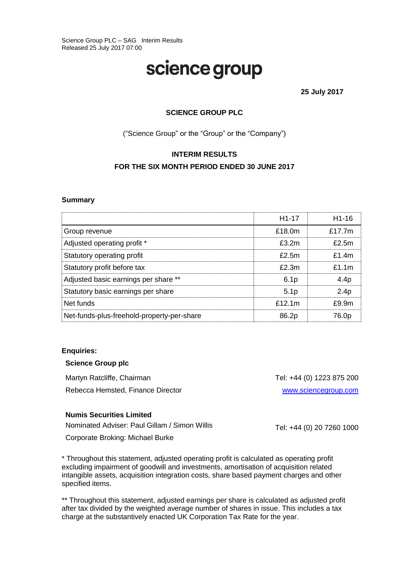# science group

**25 July 2017**

# **SCIENCE GROUP PLC**

("Science Group" or the "Group" or the "Company")

# **INTERIM RESULTS FOR THE SIX MONTH PERIOD ENDED 30 JUNE 2017**

#### **Summary**

|                                            | H <sub>1</sub> -17  | H <sub>1-16</sub> |
|--------------------------------------------|---------------------|-------------------|
| Group revenue                              | £18.0m              | £17.7 $m$         |
| Adjusted operating profit *                | f32m                | $f$ 5m            |
| Statutory operating profit                 | $f$ 5m              | f14m              |
| Statutory profit before tax                | $f$ $2 \, \text{m}$ | $f1$ 1m           |
| Adjusted basic earnings per share **       | 6.1 <sub>p</sub>    | 4.4 <sub>p</sub>  |
| Statutory basic earnings per share         | 5.1 <sub>D</sub>    | 2.4p              |
| Net funds                                  | £12.1m              | £9.9m             |
| Net-funds-plus-freehold-property-per-share | 86.2 <sub>p</sub>   | 76.0p             |

#### **Enquiries:**

#### **Science Group plc**

Martyn Ratcliffe, Chairman Tel: +44 (0) 1223 875 200 Rebecca Hemsted, Finance Director [www.sciencegroup.com](http://www.sagentia.com/)

#### **Numis Securities Limited**

Nominated Adviser: Paul Gillam / Simon Willis

Corporate Broking: Michael Burke

\* Throughout this statement, adjusted operating profit is calculated as operating profit excluding impairment of goodwill and investments, amortisation of acquisition related intangible assets, acquisition integration costs, share based payment charges and other specified items.

\*\* Throughout this statement, adjusted earnings per share is calculated as adjusted profit after tax divided by the weighted average number of shares in issue. This includes a tax charge at the substantively enacted UK Corporation Tax Rate for the year.

Tel: +44 (0) 20 7260 1000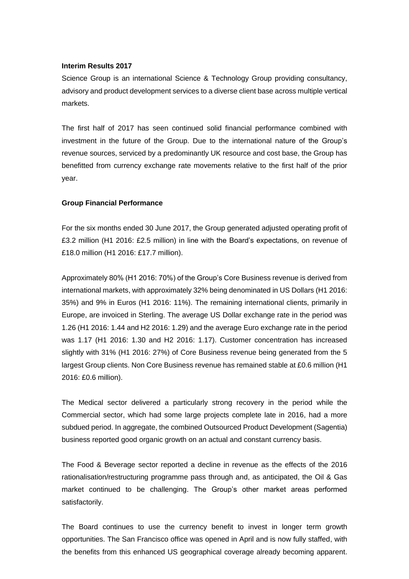#### **Interim Results 2017**

Science Group is an international Science & Technology Group providing consultancy, advisory and product development services to a diverse client base across multiple vertical markets.

The first half of 2017 has seen continued solid financial performance combined with investment in the future of the Group. Due to the international nature of the Group's revenue sources, serviced by a predominantly UK resource and cost base, the Group has benefitted from currency exchange rate movements relative to the first half of the prior year.

#### **Group Financial Performance**

For the six months ended 30 June 2017, the Group generated adjusted operating profit of £3.2 million (H1 2016: £2.5 million) in line with the Board's expectations, on revenue of £18.0 million (H1 2016: £17.7 million).

Approximately 80% (H1 2016: 70%) of the Group's Core Business revenue is derived from international markets, with approximately 32% being denominated in US Dollars (H1 2016: 35%) and 9% in Euros (H1 2016: 11%). The remaining international clients, primarily in Europe, are invoiced in Sterling. The average US Dollar exchange rate in the period was 1.26 (H1 2016: 1.44 and H2 2016: 1.29) and the average Euro exchange rate in the period was 1.17 (H1 2016: 1.30 and H2 2016: 1.17). Customer concentration has increased slightly with 31% (H1 2016: 27%) of Core Business revenue being generated from the 5 largest Group clients. Non Core Business revenue has remained stable at £0.6 million (H1 2016: £0.6 million).

The Medical sector delivered a particularly strong recovery in the period while the Commercial sector, which had some large projects complete late in 2016, had a more subdued period. In aggregate, the combined Outsourced Product Development (Sagentia) business reported good organic growth on an actual and constant currency basis.

The Food & Beverage sector reported a decline in revenue as the effects of the 2016 rationalisation/restructuring programme pass through and, as anticipated, the Oil & Gas market continued to be challenging. The Group's other market areas performed satisfactorily.

The Board continues to use the currency benefit to invest in longer term growth opportunities. The San Francisco office was opened in April and is now fully staffed, with the benefits from this enhanced US geographical coverage already becoming apparent.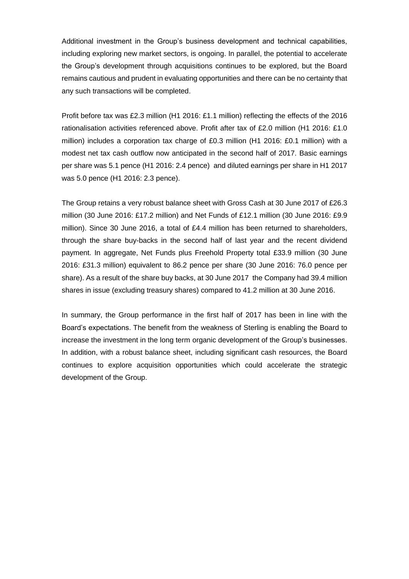Additional investment in the Group's business development and technical capabilities, including exploring new market sectors, is ongoing. In parallel, the potential to accelerate the Group's development through acquisitions continues to be explored, but the Board remains cautious and prudent in evaluating opportunities and there can be no certainty that any such transactions will be completed.

Profit before tax was £2.3 million (H1 2016: £1.1 million) reflecting the effects of the 2016 rationalisation activities referenced above. Profit after tax of £2.0 million (H1 2016: £1.0 million) includes a corporation tax charge of £0.3 million (H1 2016: £0.1 million) with a modest net tax cash outflow now anticipated in the second half of 2017. Basic earnings per share was 5.1 pence (H1 2016: 2.4 pence) and diluted earnings per share in H1 2017 was 5.0 pence (H1 2016: 2.3 pence).

The Group retains a very robust balance sheet with Gross Cash at 30 June 2017 of £26.3 million (30 June 2016: £17.2 million) and Net Funds of £12.1 million (30 June 2016: £9.9 million). Since 30 June 2016, a total of £4.4 million has been returned to shareholders, through the share buy-backs in the second half of last year and the recent dividend payment. In aggregate, Net Funds plus Freehold Property total £33.9 million (30 June 2016: £31.3 million) equivalent to 86.2 pence per share (30 June 2016: 76.0 pence per share). As a result of the share buy backs, at 30 June 2017 the Company had 39.4 million shares in issue (excluding treasury shares) compared to 41.2 million at 30 June 2016.

In summary, the Group performance in the first half of 2017 has been in line with the Board's expectations. The benefit from the weakness of Sterling is enabling the Board to increase the investment in the long term organic development of the Group's businesses. In addition, with a robust balance sheet, including significant cash resources, the Board continues to explore acquisition opportunities which could accelerate the strategic development of the Group.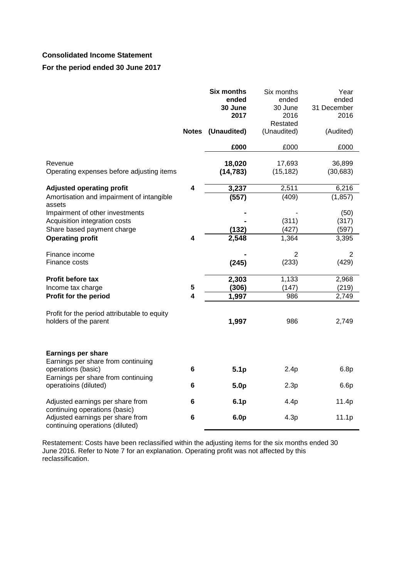# **Consolidated Income Statement**

## **For the period ended 30 June 2017**

|                                                                                                                             | <b>Notes</b>            | <b>Six months</b><br>ended<br>30 June<br>2017<br>(Unaudited) | Six months<br>ended<br>30 June<br>2016<br>Restated<br>(Unaudited) | Year<br>ended<br>31 December<br>2016<br>(Audited) |
|-----------------------------------------------------------------------------------------------------------------------------|-------------------------|--------------------------------------------------------------|-------------------------------------------------------------------|---------------------------------------------------|
|                                                                                                                             |                         | £000                                                         | £000                                                              | £000                                              |
| Revenue<br>Operating expenses before adjusting items                                                                        |                         | 18,020<br>(14, 783)                                          | 17,693<br>(15, 182)                                               | 36,899<br>(30, 683)                               |
| <b>Adjusted operating profit</b>                                                                                            | $\overline{\mathbf{4}}$ | 3,237                                                        | 2,511                                                             | 6,216                                             |
| Amortisation and impairment of intangible<br>assets                                                                         |                         | (557)                                                        | (409)                                                             | (1, 857)                                          |
| Impairment of other investments<br>Acquisition integration costs<br>Share based payment charge<br><b>Operating profit</b>   | 4                       | (132)<br>2,548                                               | (311)<br>(427)<br>1,364                                           | (50)<br>(317)<br>(597)<br>3,395                   |
| Finance income<br>Finance costs                                                                                             |                         | (245)                                                        | $\overline{2}$<br>(233)                                           | $\overline{2}$<br>(429)                           |
| <b>Profit before tax</b><br>Income tax charge                                                                               | 5                       | 2,303<br>(306)                                               | 1,133<br>(147)                                                    | 2,968<br>(219)                                    |
| Profit for the period                                                                                                       | 4                       | 1,997                                                        | 986                                                               | 2,749                                             |
| Profit for the period attributable to equity<br>holders of the parent                                                       |                         | 1,997                                                        | 986                                                               | 2,749                                             |
| <b>Earnings per share</b><br>Earnings per share from continuing<br>operations (basic)<br>Earnings per share from continuing | 6                       | 5.1 <sub>p</sub>                                             | 2.4p                                                              | 6.8p                                              |
| operatioins (diluted)                                                                                                       | 6                       | 5.0 <sub>p</sub>                                             | 2.3p                                                              | 6.6p                                              |
| Adjusted earnings per share from<br>continuing operations (basic)                                                           | 6                       | 6.1 <sub>p</sub>                                             | 4.4p                                                              | 11.4p                                             |
| Adjusted earnings per share from<br>continuing operations (diluted)                                                         | 6                       | 6.0 <sub>p</sub>                                             | 4.3p                                                              | 11.1p                                             |

Restatement: Costs have been reclassified within the adjusting items for the six months ended 30 June 2016. Refer to Note 7 for an explanation. Operating profit was not affected by this reclassification.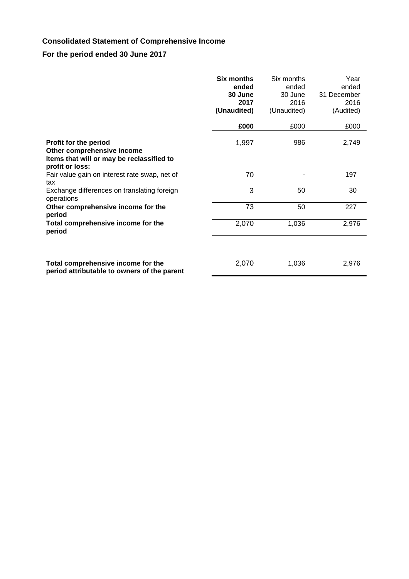# **Consolidated Statement of Comprehensive Income**

# **For the period ended 30 June 2017**

|                                                                                                                     | Six months<br>ended<br>30 June<br>2017<br>(Unaudited)<br>£000 | Six months<br>ended<br>30 June<br>2016<br>(Unaudited)<br>£000 | Year<br>ended<br>31 December<br>2016<br>(Audited)<br>£000 |
|---------------------------------------------------------------------------------------------------------------------|---------------------------------------------------------------|---------------------------------------------------------------|-----------------------------------------------------------|
|                                                                                                                     |                                                               |                                                               |                                                           |
| Profit for the period<br>Other comprehensive income<br>Items that will or may be reclassified to<br>profit or loss: | 1,997                                                         | 986                                                           | 2,749                                                     |
| Fair value gain on interest rate swap, net of<br>tax                                                                | 70                                                            |                                                               | 197                                                       |
| Exchange differences on translating foreign<br>operations                                                           | 3                                                             | 50                                                            | 30                                                        |
| Other comprehensive income for the<br>period                                                                        | 73                                                            | 50                                                            | 227                                                       |
| Total comprehensive income for the<br>period                                                                        | 2,070                                                         | 1,036                                                         | 2,976                                                     |
| Total comprehensive income for the<br>period attributable to owners of the parent                                   | 2,070                                                         | 1,036                                                         | 2,976                                                     |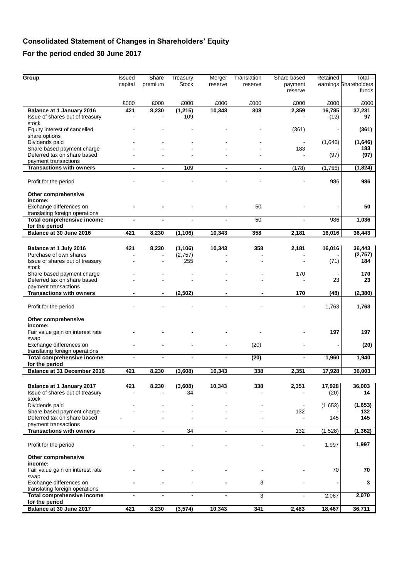# **Consolidated Statement of Changes in Shareholders' Equity**

# **For the period ended 30 June 2017**

| Group                                                               | Issued<br>capital | Share<br>premium         | Treasury<br>Stock | Merger<br>reserve | Translation<br>reserve | Share based<br>payment | Retained       | $Total -$<br>earnings Shareholders |
|---------------------------------------------------------------------|-------------------|--------------------------|-------------------|-------------------|------------------------|------------------------|----------------|------------------------------------|
|                                                                     |                   |                          |                   |                   |                        | reserve                |                | funds                              |
|                                                                     | £000              | £000                     | £000              | £000              | £000                   | £000                   | £000           | £000                               |
| <b>Balance at 1 January 2016</b>                                    | 421               | 8,230                    | (1, 215)          | 10,343            | 308                    | 2,359                  | 16,785         | 37,231                             |
| Issue of shares out of treasury<br>stock                            |                   |                          | 109               |                   |                        |                        | (12)           | 97                                 |
| Equity interest of cancelled                                        |                   |                          |                   |                   |                        | (361)                  |                | (361)                              |
| share options<br>Dividends paid                                     |                   |                          |                   |                   |                        |                        | (1,646)        | (1,646)                            |
| Share based payment charge                                          |                   |                          |                   |                   |                        | 183                    |                | 183                                |
| Deferred tax on share based                                         |                   |                          |                   |                   |                        |                        | (97)           | (97)                               |
| payment transactions<br><b>Transactions with owners</b>             |                   |                          | 109               | $\blacksquare$    | $\blacksquare$         | (178)                  | (1,755)        | (1, 824)                           |
|                                                                     |                   |                          |                   |                   |                        |                        |                |                                    |
| Profit for the period                                               |                   |                          |                   |                   |                        |                        | 986            | 986                                |
| Other comprehensive<br>income:                                      |                   |                          |                   |                   |                        |                        |                |                                    |
| Exchange differences on                                             |                   |                          |                   |                   | 50                     |                        |                | 50                                 |
| translating foreign operations<br><b>Total comprehensive income</b> |                   |                          |                   |                   | 50                     |                        | 986            | 1,036                              |
| for the period                                                      |                   |                          |                   |                   |                        |                        |                |                                    |
| Balance at 30 June 2016                                             | 421               | 8,230                    | (1, 106)          | 10,343            | 358                    | 2,181                  | 16,016         | 36,443                             |
| Balance at 1 July 2016                                              | 421               | 8,230                    | (1, 106)          | 10,343            | 358                    | 2,181                  | 16,016         | 36,443                             |
| Purchase of own shares                                              |                   |                          | (2,757)           |                   |                        |                        |                | (2,757)<br>184                     |
| Issue of shares out of treasury<br>stock                            |                   |                          | 255               |                   |                        |                        | (71)           |                                    |
| Share based payment charge<br>Deferred tax on share based           |                   |                          |                   |                   |                        | 170                    | 23             | 170<br>23                          |
| payment transactions                                                |                   |                          |                   |                   |                        |                        |                |                                    |
| <b>Transactions with owners</b>                                     | $\blacksquare$    | $\overline{\phantom{a}}$ | (2, 502)          | $\blacksquare$    | $\blacksquare$         | 170                    | (48)           | (2, 380)                           |
| Profit for the period                                               |                   |                          |                   |                   |                        |                        | 1,763          | 1,763                              |
| Other comprehensive                                                 |                   |                          |                   |                   |                        |                        |                |                                    |
| income:<br>Fair value gain on interest rate                         |                   |                          |                   |                   |                        |                        | 197            | 197                                |
| swap                                                                |                   |                          |                   |                   |                        |                        |                |                                    |
| Exchange differences on<br>translating foreign operations           |                   |                          |                   |                   | (20)                   |                        |                | (20)                               |
| <b>Total comprehensive income</b><br>for the period                 |                   |                          |                   | $\blacksquare$    | (20)                   | $\blacksquare$         | 1,960          | 1,940                              |
| Balance at 31 December 2016                                         | 421               | 8,230                    | (3,608)           | 10,343            | 338                    | 2,351                  | 17,928         | 36.003                             |
|                                                                     |                   |                          |                   |                   |                        |                        |                |                                    |
| <b>Balance at 1 January 2017</b><br>Issue of shares out of treasury | 421               | 8,230                    | (3,608)<br>34     | 10,343            | 338                    | 2,351                  | 17,928<br>(20) | 36,003<br>14                       |
| stock<br>Dividends paid                                             |                   |                          |                   |                   |                        |                        | (1,653)        | (1,653)                            |
| Share based payment charge                                          |                   |                          |                   |                   |                        | 132                    |                | 132                                |
| Deferred tax on share based                                         |                   |                          |                   |                   |                        |                        | 145            | 145                                |
| payment transactions<br><b>Transactions with owners</b>             | $\blacksquare$    | $\blacksquare$           | 34                | $\blacksquare$    | $\blacksquare$         | 132                    | (1,528)        | (1, 362)                           |
|                                                                     |                   |                          |                   |                   |                        |                        |                |                                    |
| Profit for the period                                               |                   |                          |                   |                   |                        |                        | 1,997          | 1,997                              |
| Other comprehensive<br>income:                                      |                   |                          |                   |                   |                        |                        |                |                                    |
| Fair value gain on interest rate                                    |                   |                          |                   |                   |                        |                        | 70             | 70                                 |
| swap                                                                |                   |                          |                   |                   |                        |                        |                |                                    |
| Exchange differences on<br>translating foreign operations           |                   |                          |                   |                   | 3                      |                        |                | 3                                  |
| Total comprehensive income                                          |                   |                          |                   |                   | 3                      | ÷,                     | 2,067          | 2,070                              |
| for the period<br>Balance at 30 June 2017                           | 421               | 8,230                    | (3, 574)          | 10,343            | 341                    | 2,483                  | 18,467         | 36,711                             |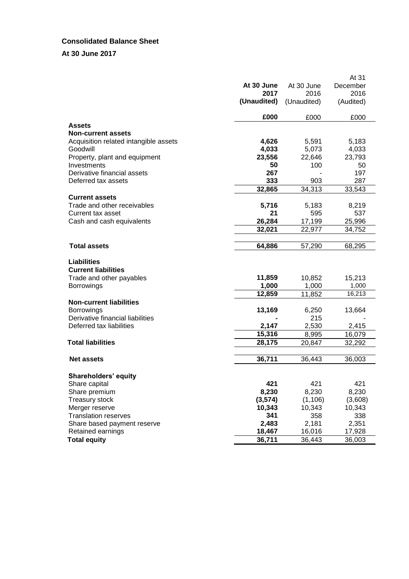# **Consolidated Balance Sheet**

# **At 30 June 2017**

|                                                  |             |             | At 31     |
|--------------------------------------------------|-------------|-------------|-----------|
|                                                  | At 30 June  | At 30 June  | December  |
|                                                  | 2017        | 2016        | 2016      |
|                                                  | (Unaudited) | (Unaudited) | (Audited) |
|                                                  | £000        | £000        | £000      |
| Assets                                           |             |             |           |
| <b>Non-current assets</b>                        |             |             |           |
| Acquisition related intangible assets            | 4,626       | 5,591       | 5,183     |
| Goodwill                                         | 4,033       | 5,073       | 4,033     |
| Property, plant and equipment                    | 23,556      | 22,646      | 23,793    |
| Investments                                      | 50          | 100         | 50        |
| Derivative financial assets                      | 267         |             | 197       |
| Deferred tax assets                              | 333         | 903         | 287       |
|                                                  | 32,865      | 34,313      | 33,543    |
| <b>Current assets</b>                            |             |             |           |
| Trade and other receivables                      | 5,716       | 5,183       | 8,219     |
| Current tax asset                                | 21          | 595         | 537       |
| Cash and cash equivalents                        | 26,284      | 17,199      | 25,996    |
|                                                  | 32,021      | 22,977      | 34,752    |
|                                                  |             |             |           |
| <b>Total assets</b>                              | 64,886      | 57,290      | 68,295    |
| <b>Liabilities</b><br><b>Current liabilities</b> |             |             |           |
| Trade and other payables                         | 11,859      | 10,852      | 15,213    |
| <b>Borrowings</b>                                | 1,000       | 1,000       | 1,000     |
|                                                  | 12,859      | 11,852      | 16,213    |
| <b>Non-current liabilities</b>                   |             |             |           |
| <b>Borrowings</b>                                | 13,169      | 6,250       | 13,664    |
| Derivative financial liabilities                 |             | 215         |           |
| Deferred tax liabilities                         | 2,147       | 2,530       | 2,415     |
|                                                  | 15,316      | 8,995       | 16,079    |
| <b>Total liabilities</b>                         | 28,175      | 20,847      | 32,292    |
|                                                  |             |             |           |
| <b>Net assets</b>                                | 36,711      | 36,443      | 36,003    |
| <b>Shareholders' equity</b>                      |             |             |           |
| Share capital                                    | 421         | 421         | 421       |
| Share premium                                    | 8,230       | 8,230       | 8,230     |
| <b>Treasury stock</b>                            | (3, 574)    | (1, 106)    | (3,608)   |
| Merger reserve                                   | 10,343      | 10,343      | 10,343    |
| <b>Translation reserves</b>                      | 341         | 358         | 338       |
| Share based payment reserve                      | 2,483       | 2,181       | 2,351     |
| Retained earnings                                | 18,467      | 16,016      | 17,928    |
| <b>Total equity</b>                              | 36,711      | 36,443      | 36,003    |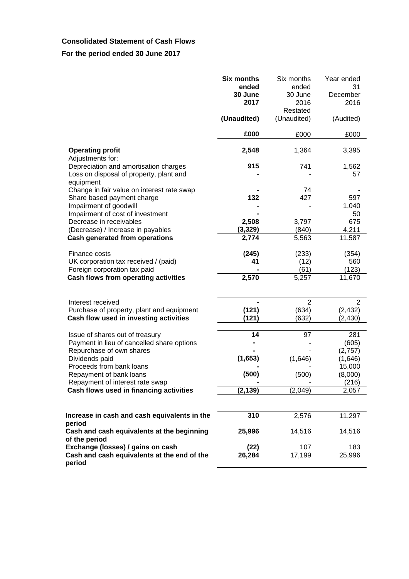# **Consolidated Statement of Cash Flows**

# **For the period ended 30 June 2017**

|                                                                                     | Six months<br>ended<br>30 June | Six months<br>ended<br>30 June | Year ended<br>31<br>December |
|-------------------------------------------------------------------------------------|--------------------------------|--------------------------------|------------------------------|
|                                                                                     | 2017                           | 2016<br>Restated               | 2016                         |
|                                                                                     | (Unaudited)                    | (Unaudited)                    | (Audited)                    |
|                                                                                     | £000                           | £000                           | £000                         |
| <b>Operating profit</b><br>Adjustments for:                                         | 2,548                          | 1,364                          | 3,395                        |
| Depreciation and amortisation charges                                               | 915                            | 741                            | 1,562                        |
| Loss on disposal of property, plant and<br>equipment                                |                                |                                | 57                           |
| Change in fair value on interest rate swap                                          |                                | 74                             |                              |
| Share based payment charge                                                          | 132                            | 427                            | 597                          |
| Impairment of goodwill                                                              |                                |                                | 1,040                        |
| Impairment of cost of investment<br>Decrease in receivables                         | 2,508                          | 3,797                          | 50<br>675                    |
| (Decrease) / Increase in payables                                                   | (3, 329)                       | (840)                          | 4,211                        |
| Cash generated from operations                                                      | 2,774                          | 5,563                          | 11,587                       |
| Finance costs                                                                       | (245)                          | (233)                          | (354)                        |
| UK corporation tax received / (paid)                                                | 41                             | (12)                           | 560                          |
| Foreign corporation tax paid                                                        |                                | (61)                           | (123)                        |
| Cash flows from operating activities                                                | 2,570                          | 5,257                          | 11,670                       |
|                                                                                     |                                |                                |                              |
| Interest received                                                                   | (121)                          | 2<br>(634)                     | 2                            |
| Purchase of property, plant and equipment<br>Cash flow used in investing activities | (121)                          | (632)                          | (2, 432)<br>(2, 430)         |
|                                                                                     |                                |                                |                              |
| Issue of shares out of treasury                                                     | 14                             | 97                             | 281                          |
| Payment in lieu of cancelled share options                                          |                                |                                | (605)                        |
| Repurchase of own shares                                                            |                                |                                | (2,757)                      |
| Dividends paid                                                                      | (1,653)                        | (1,646)                        | (1,646)                      |
| Proceeds from bank loans                                                            |                                |                                | 15,000                       |
| Repayment of bank loans                                                             | (500)                          | (500)                          | (8,000)                      |
| Repayment of interest rate swap                                                     |                                |                                | (216)                        |
| Cash flows used in financing activities                                             | (2, 139)                       | (2,049)                        | 2,057                        |
|                                                                                     |                                |                                |                              |
| Increase in cash and cash equivalents in the<br>period                              | 310                            | 2,576                          | 11,297                       |
| Cash and cash equivalents at the beginning<br>of the period                         | 25,996                         | 14,516                         | 14,516                       |
| Exchange (losses) / gains on cash                                                   | (22)                           | 107                            | 183                          |
| Cash and cash equivalents at the end of the<br>period                               | 26,284                         | 17,199                         | 25,996                       |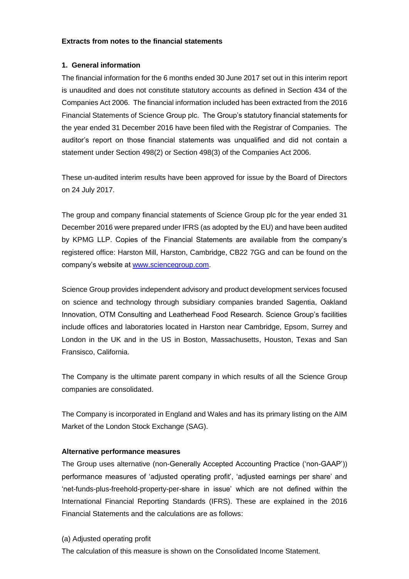#### **Extracts from notes to the financial statements**

## **1. General information**

The financial information for the 6 months ended 30 June 2017 set out in this interim report is unaudited and does not constitute statutory accounts as defined in Section 434 of the Companies Act 2006. The financial information included has been extracted from the 2016 Financial Statements of Science Group plc. The Group's statutory financial statements for the year ended 31 December 2016 have been filed with the Registrar of Companies. The auditor's report on those financial statements was unqualified and did not contain a statement under Section 498(2) or Section 498(3) of the Companies Act 2006.

These un-audited interim results have been approved for issue by the Board of Directors on 24 July 2017.

The group and company financial statements of Science Group plc for the year ended 31 December 2016 were prepared under IFRS (as adopted by the EU) and have been audited by KPMG LLP. Copies of the Financial Statements are available from the company's registered office: Harston Mill, Harston, Cambridge, CB22 7GG and can be found on the company's website at [www.sciencegroup.com.](http://www.sciencegroup.com/)

Science Group provides independent advisory and product development services focused on science and technology through subsidiary companies branded Sagentia, Oakland Innovation, OTM Consulting and Leatherhead Food Research. Science Group's facilities include offices and laboratories located in Harston near Cambridge, Epsom, Surrey and London in the UK and in the US in Boston, Massachusetts, Houston, Texas and San Fransisco, California.

The Company is the ultimate parent company in which results of all the Science Group companies are consolidated.

The Company is incorporated in England and Wales and has its primary listing on the AIM Market of the London Stock Exchange (SAG).

# **Alternative performance measures**

The Group uses alternative (non-Generally Accepted Accounting Practice ('non-GAAP')) performance measures of 'adjusted operating profit', 'adjusted earnings per share' and 'net-funds-plus-freehold-property-per-share in issue' which are not defined within the International Financial Reporting Standards (IFRS). These are explained in the 2016 Financial Statements and the calculations are as follows:

#### (a) Adjusted operating profit

The calculation of this measure is shown on the Consolidated Income Statement.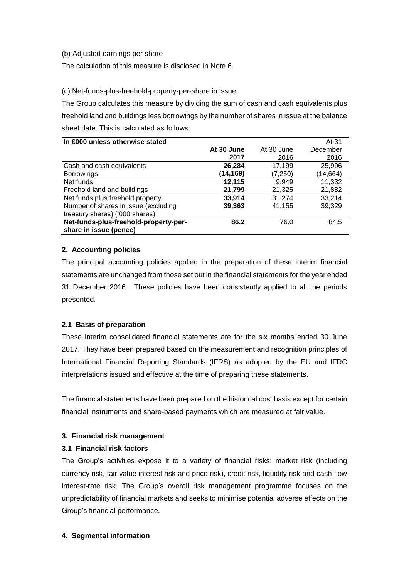## (b) Adjusted earnings per share

The calculation of this measure is disclosed in Note 6.

## (c) Net-funds-plus-freehold-property-per-share in issue

The Group calculates this measure by dividing the sum of cash and cash equivalents plus freehold land and buildings less borrowings by the number of shares in issue at the balance sheet date. This is calculated as follows:

| In £000 unless otherwise stated       |            |            | At 31    |
|---------------------------------------|------------|------------|----------|
|                                       | At 30 June | At 30 June | December |
|                                       | 2017       | 2016       | 2016     |
| Cash and cash equivalents             | 26,284     | 17,199     | 25,996   |
| <b>Borrowings</b>                     | (14,169)   | (7,250)    | (14,664) |
| Net funds                             | 12,115     | 9,949      | 11,332   |
| Freehold land and buildings           | 21,799     | 21,325     | 21,882   |
| Net funds plus freehold property      | 33,914     | 31,274     | 33,214   |
| Number of shares in issue (excluding  | 39,363     | 41,155     | 39,329   |
| treasury shares) ('000 shares)        |            |            |          |
| Net-funds-plus-freehold-property-per- | 86.2       | 76.0       | 84.5     |
| share in issue (pence)                |            |            |          |

# **2. Accounting policies**

The principal accounting policies applied in the preparation of these interim financial statements are unchanged from those set out in the financial statements for the year ended 31 December 2016. These policies have been consistently applied to all the periods presented.

# **2.1 Basis of preparation**

These interim consolidated financial statements are for the six months ended 30 June 2017. They have been prepared based on the measurement and recognition principles of International Financial Reporting Standards (IFRS) as adopted by the EU and IFRC interpretations issued and effective at the time of preparing these statements.

The financial statements have been prepared on the historical cost basis except for certain financial instruments and share-based payments which are measured at fair value.

# **3. Financial risk management**

# **3.1 Financial risk factors**

The Group's activities expose it to a variety of financial risks: market risk (including currency risk, fair value interest risk and price risk), credit risk, liquidity risk and cash flow interest-rate risk. The Group's overall risk management programme focuses on the unpredictability of financial markets and seeks to minimise potential adverse effects on the Group's financial performance.

# **4. Segmental information**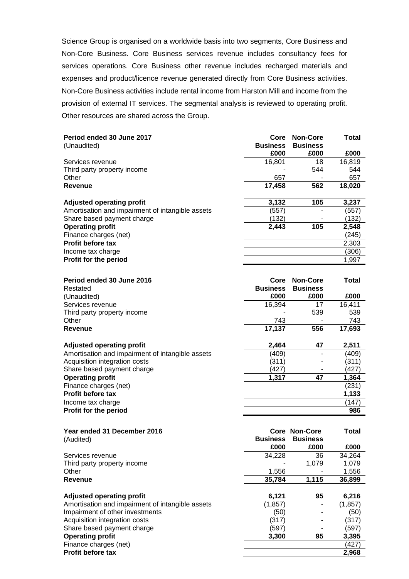Science Group is organised on a worldwide basis into two segments, Core Business and Non-Core Business. Core Business services revenue includes consultancy fees for services operations. Core Business other revenue includes recharged materials and expenses and product/licence revenue generated directly from Core Business activities. Non-Core Business activities include rental income from Harston Mill and income from the provision of external IT services. The segmental analysis is reviewed to operating profit. Other resources are shared across the Group.

| Period ended 30 June 2017                        | Core            | <b>Non-Core</b> | <b>Total</b> |
|--------------------------------------------------|-----------------|-----------------|--------------|
| (Unaudited)                                      | <b>Business</b> | <b>Business</b> |              |
|                                                  | £000            | £000            | £000         |
| Services revenue                                 | 16.801          | 18              | 16,819       |
| Third party property income                      |                 | 544             | 544          |
| Other                                            | 657             |                 | 657          |
| Revenue                                          | 17,458          | 562             | 18,020       |
|                                                  |                 |                 |              |
| <b>Adjusted operating profit</b>                 | 3,132           | 105             | 3,237        |
| Amortisation and impairment of intangible assets | (557)           |                 | (557)        |
| Share based payment charge                       | (132)           |                 | (132)        |
| <b>Operating profit</b>                          | 2,443           | 105             | 2,548        |
| Finance charges (net)                            |                 |                 | (245)        |
| <b>Profit before tax</b>                         |                 |                 | 2,303        |
| Income tax charge                                |                 |                 | (306)        |
| Profit for the period                            |                 |                 | 1,997        |

| Period ended 30 June 2016                        | Core            | <b>Non-Core</b> | Total  |
|--------------------------------------------------|-----------------|-----------------|--------|
| Restated                                         | <b>Business</b> | <b>Business</b> |        |
| (Unaudited)                                      | £000            | £000            | £000   |
| Services revenue                                 | 16,394          | 17              | 16,411 |
| Third party property income                      |                 | 539             | 539    |
| Other                                            | 743             |                 | 743    |
| Revenue                                          | 17,137          | 556             | 17,693 |
|                                                  |                 |                 |        |
| <b>Adjusted operating profit</b>                 | 2,464           | 47              | 2,511  |
| Amortisation and impairment of intangible assets | (409)           |                 | (409)  |
| Acquisition integration costs                    | (311)           |                 | (311)  |
| Share based payment charge                       | (427)           |                 | (427)  |
| <b>Operating profit</b>                          | 1.317           | 47              | 1,364  |
| Finance charges (net)                            |                 |                 | (231)  |
| <b>Profit before tax</b>                         |                 |                 | 1,133  |
| Income tax charge                                |                 |                 | (147)  |
| <b>Profit for the period</b>                     |                 |                 | 986    |

| Year ended 31 December 2016                      |                 | <b>Core Non-Core</b> | Total   |
|--------------------------------------------------|-----------------|----------------------|---------|
| (Audited)                                        | <b>Business</b> | <b>Business</b>      |         |
|                                                  | £000            | £000                 | £000    |
| Services revenue                                 | 34,228          | 36                   | 34,264  |
| Third party property income                      |                 | 1,079                | 1,079   |
| Other                                            | 1,556           |                      | 1,556   |
| Revenue                                          | 35,784          | 1.115                | 36,899  |
|                                                  |                 |                      |         |
| <b>Adjusted operating profit</b>                 | 6,121           | 95                   | 6,216   |
| Amortisation and impairment of intangible assets | (1, 857)        |                      | (1,857) |
| Impairment of other investments                  | (50)            |                      | (50)    |
| Acquisition integration costs                    | (317)           |                      | (317)   |
| Share based payment charge                       | (597)           | ۰                    | (597)   |
| <b>Operating profit</b>                          | 3,300           | 95                   | 3,395   |
| Finance charges (net)                            |                 |                      | (427)   |
| <b>Profit before tax</b>                         |                 |                      | 2.968   |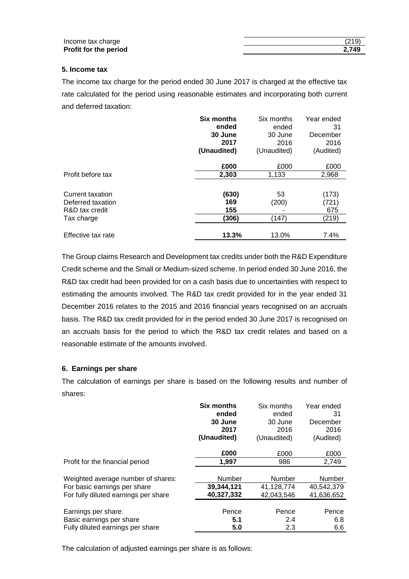| Income tax charge     | (219) |
|-----------------------|-------|
| Profit for the period | 2.749 |

#### **5. Income tax**

The income tax charge for the period ended 30 June 2017 is charged at the effective tax rate calculated for the period using reasonable estimates and incorporating both current and deferred taxation:

|                    | <b>Six months</b> | Six months  | Year ended |
|--------------------|-------------------|-------------|------------|
|                    | ended             | ended       | 31         |
|                    | 30 June           | 30 June     | December   |
|                    | 2017              | 2016        | 2016       |
|                    | (Unaudited)       | (Unaudited) | (Audited)  |
|                    | £000              | £000        | £000       |
| Profit before tax  | 2,303             | 1,133       | 2,968      |
|                    |                   |             |            |
| Current taxation   | (630)             | 53          | (173)      |
| Deferred taxation  | 169               | (200)       | (721)      |
| R&D tax credit     | 155               |             | 675        |
| Tax charge         | (306)             | (147)       | (219)      |
| Effective tax rate | 13.3%             | 13.0%       | 7.4%       |

The Group claims Research and Development tax credits under both the R&D Expenditure Credit scheme and the Small or Medium-sized scheme. In period ended 30 June 2016, the R&D tax credit had been provided for on a cash basis due to uncertainties with respect to estimating the amounts involved. The R&D tax credit provided for in the year ended 31 December 2016 relates to the 2015 and 2016 financial years recognised on an accruals basis. The R&D tax credit provided for in the period ended 30 June 2017 is recognised on an accruals basis for the period to which the R&D tax credit relates and based on a reasonable estimate of the amounts involved.

#### **6. Earnings per share**

The calculation of earnings per share is based on the following results and number of shares:

|                                      | <b>Six months</b> | Six months    | Year ended |
|--------------------------------------|-------------------|---------------|------------|
|                                      | ended             | ended         | 31         |
|                                      | 30 June           | 30 June       | December   |
|                                      | 2017              | 2016          | 2016       |
|                                      | (Unaudited)       | (Unaudited)   | (Audited)  |
|                                      | £000              | £000          | £000       |
| Profit for the financial period      | 1,997             | 986           | 2,749      |
| Weighted average number of shares:   | Number            | <b>Number</b> | Number     |
| For basic earnings per share         | 39,344,121        | 41,128,774    | 40,542,379 |
| For fully diluted earnings per share | 40,327,332        | 42,043,546    | 41,636,652 |
| Earnings per share:                  | Pence             | Pence         | Pence      |
| Basic earnings per share             | 5.1               | 2.4           | 6.8        |
| Fully diluted earnings per share     | 5.0               | 2.3           | 6.6        |

The calculation of adjusted earnings per share is as follows: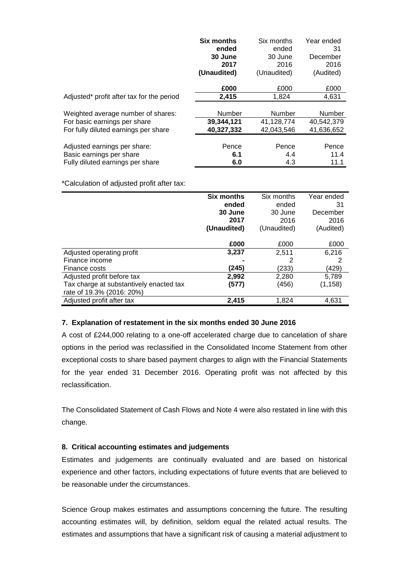|                                           | <b>Six months</b> | Six months  | Year ended    |
|-------------------------------------------|-------------------|-------------|---------------|
|                                           | ended             | ended       | 31            |
|                                           | 30 June           | 30 June     | December      |
|                                           | 2017              | 2016        | 2016          |
|                                           | (Unaudited)       | (Unaudited) | (Audited)     |
|                                           | £000              | £000        | £000          |
| Adjusted* profit after tax for the period | 2,415             | 1,824       | 4,631         |
|                                           |                   |             |               |
| Weighted average number of shares:        | Number            | Number      | <b>Number</b> |
| For basic earnings per share              | 39,344,121        | 41,128,774  | 40,542,379    |
| For fully diluted earnings per share      | 40,327,332        | 42.043.546  | 41,636,652    |
|                                           |                   |             |               |
| Adjusted earnings per share:              | Pence             | Pence       | Pence         |
| Basic earnings per share                  | 6.1               | 4.4         | 11.4          |
| Fully diluted earnings per share          | 6.0               | 4.3         | 11.1          |

\*Calculation of adjusted profit after tax:

|                                         | <b>Six months</b> | Six months  | Year ended |
|-----------------------------------------|-------------------|-------------|------------|
|                                         | ended             | ended       | 31         |
|                                         | 30 June           | 30 June     | December   |
|                                         | 2017              | 2016        | 2016       |
|                                         | (Unaudited)       | (Unaudited) | (Audited)  |
|                                         |                   |             |            |
|                                         | £000              | £000        | £000       |
| Adjusted operating profit               | 3,237             | 2,511       | 6,216      |
| Finance income                          |                   | 2           | 2          |
| Finance costs                           | (245)             | (233)       | (429)      |
| Adjusted profit before tax              | 2,992             | 2,280       | 5,789      |
| Tax charge at substantively enacted tax | (577)             | (456)       | (1, 158)   |
| rate of 19.3% (2016: 20%)               |                   |             |            |
| Adjusted profit after tax               | 2,415             | 1,824       | 4,631      |

# **7. Explanation of restatement in the six months ended 30 June 2016**

A cost of £244,000 relating to a one-off accelerated charge due to cancelation of share options in the period was reclassified in the Consolidated Income Statement from other exceptional costs to share based payment charges to align with the Financial Statements for the year ended 31 December 2016. Operating profit was not affected by this reclassification.

The Consolidated Statement of Cash Flows and Note 4 were also restated in line with this change.

# **8. Critical accounting estimates and judgements**

Estimates and judgements are continually evaluated and are based on historical experience and other factors, including expectations of future events that are believed to be reasonable under the circumstances.

Science Group makes estimates and assumptions concerning the future. The resulting accounting estimates will, by definition, seldom equal the related actual results. The estimates and assumptions that have a significant risk of causing a material adjustment to